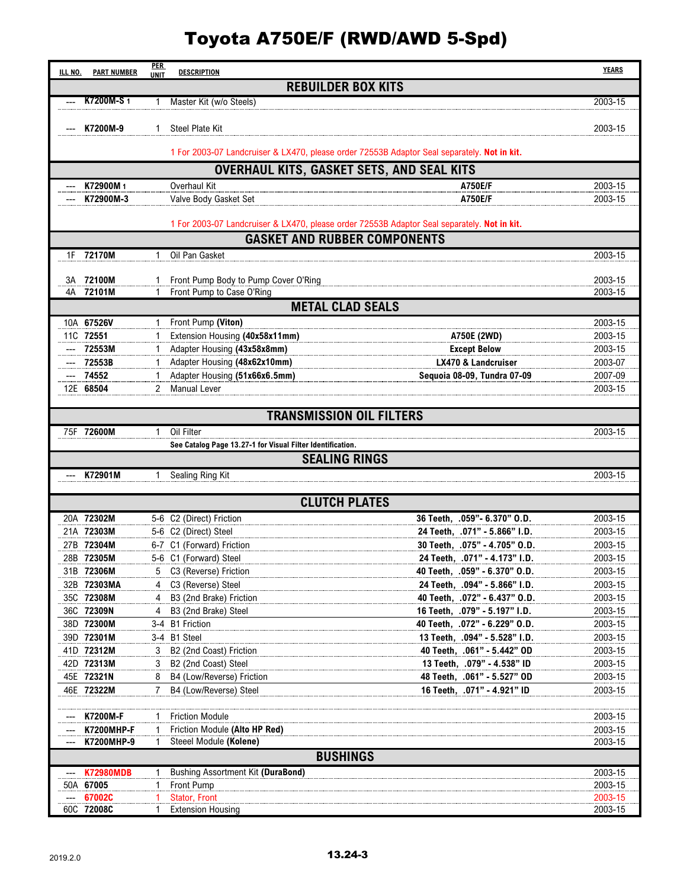## Toyota A750E/F (RWD/AWD 5-Spd)

| <b>ILL NO.</b>                                                                                                                     | <b>PART NUMBER</b>                                                                           | <b>PER</b><br><b>UNIT</b> | <b>DESCRIPTION</b>                                            |                                                                                             | <b>YEARS</b>       |  |  |  |  |  |
|------------------------------------------------------------------------------------------------------------------------------------|----------------------------------------------------------------------------------------------|---------------------------|---------------------------------------------------------------|---------------------------------------------------------------------------------------------|--------------------|--|--|--|--|--|
|                                                                                                                                    |                                                                                              |                           |                                                               | <b>REBUILDER BOX KITS</b>                                                                   |                    |  |  |  |  |  |
|                                                                                                                                    | <b>K7200M-S1</b>                                                                             | 1                         | Master Kit (w/o Steels)                                       |                                                                                             | 2003-15            |  |  |  |  |  |
|                                                                                                                                    |                                                                                              |                           |                                                               |                                                                                             |                    |  |  |  |  |  |
|                                                                                                                                    | K7200M-9                                                                                     | 1                         | <b>Steel Plate Kit</b>                                        |                                                                                             | 2003-15            |  |  |  |  |  |
|                                                                                                                                    |                                                                                              |                           |                                                               | 1 For 2003-07 Landcruiser & LX470, please order 72553B Adaptor Seal separately. Not in kit. |                    |  |  |  |  |  |
| OVERHAUL KITS, GASKET SETS, AND SEAL KITS                                                                                          |                                                                                              |                           |                                                               |                                                                                             |                    |  |  |  |  |  |
|                                                                                                                                    | K72900M1                                                                                     |                           | Overhaul Kit                                                  | A750E/F                                                                                     | 2003-15            |  |  |  |  |  |
|                                                                                                                                    | K72900M-3                                                                                    |                           | Valve Body Gasket Set                                         | <b>A750E/F</b>                                                                              | 2003-15            |  |  |  |  |  |
|                                                                                                                                    |                                                                                              |                           |                                                               |                                                                                             |                    |  |  |  |  |  |
| 1 For 2003-07 Landcruiser & LX470, please order 72553B Adaptor Seal separately. Not in kit.<br><b>GASKET AND RUBBER COMPONENTS</b> |                                                                                              |                           |                                                               |                                                                                             |                    |  |  |  |  |  |
|                                                                                                                                    |                                                                                              |                           |                                                               |                                                                                             |                    |  |  |  |  |  |
|                                                                                                                                    | 1F 72170M                                                                                    |                           | Oil Pan Gasket                                                |                                                                                             | 2003-15            |  |  |  |  |  |
| 3A                                                                                                                                 | 72100M                                                                                       |                           | Front Pump Body to Pump Cover O'Ring                          |                                                                                             | 2003-15            |  |  |  |  |  |
| 4A                                                                                                                                 | 72101M                                                                                       |                           | Front Pump to Case O'Ring                                     |                                                                                             | 2003-15            |  |  |  |  |  |
| <b>METAL CLAD SEALS</b>                                                                                                            |                                                                                              |                           |                                                               |                                                                                             |                    |  |  |  |  |  |
|                                                                                                                                    | 10A 67526V                                                                                   |                           | 1 Front Pump (Viton)                                          |                                                                                             | 2003-15            |  |  |  |  |  |
|                                                                                                                                    | 11C 72551                                                                                    |                           | Extension Housing (40x58x11mm)                                | A750E (2WD)                                                                                 | 2003-15            |  |  |  |  |  |
| ---                                                                                                                                | 72553M                                                                                       |                           | Adapter Housing (43x58x8mm)                                   | <b>Except Below</b>                                                                         | 2003-15            |  |  |  |  |  |
| ---<br>---                                                                                                                         | 72553B<br>74552                                                                              |                           | Adapter Housing (48x62x10mm)<br>Adapter Housing (51x66x6.5mm) | <b>LX470 &amp; Landcruiser</b><br>Sequoia 08-09, Tundra 07-09                               | 2003-07<br>2007-09 |  |  |  |  |  |
|                                                                                                                                    | 12E 68504                                                                                    | 2                         | <b>Manual Lever</b>                                           |                                                                                             | 2003-15            |  |  |  |  |  |
|                                                                                                                                    |                                                                                              |                           |                                                               |                                                                                             |                    |  |  |  |  |  |
|                                                                                                                                    |                                                                                              |                           |                                                               | <b>TRANSMISSION OIL FILTERS</b>                                                             |                    |  |  |  |  |  |
|                                                                                                                                    | 75F 72600M                                                                                   | 1                         | Oil Filter                                                    |                                                                                             | 2003-15            |  |  |  |  |  |
|                                                                                                                                    |                                                                                              |                           | See Catalog Page 13.27-1 for Visual Filter Identification.    | <b>SEALING RINGS</b>                                                                        |                    |  |  |  |  |  |
|                                                                                                                                    | K72901M                                                                                      |                           | Sealing Ring Kit                                              |                                                                                             | 2003-15            |  |  |  |  |  |
|                                                                                                                                    |                                                                                              |                           |                                                               |                                                                                             |                    |  |  |  |  |  |
| <b>CLUTCH PLATES</b>                                                                                                               |                                                                                              |                           |                                                               |                                                                                             |                    |  |  |  |  |  |
|                                                                                                                                    | 20A 72302M                                                                                   |                           | 5-6 C2 (Direct) Friction                                      | 36 Teeth, .059"- 6.370" O.D.                                                                | 2003-15            |  |  |  |  |  |
|                                                                                                                                    | 21A 72303M                                                                                   |                           | 5-6 C2 (Direct) Steel                                         | 24 Teeth, .071" - 5.866" I.D.                                                               | 2003-15            |  |  |  |  |  |
|                                                                                                                                    | 27B 72304M                                                                                   |                           | 6-7 C1 (Forward) Friction                                     | 30 Teeth, .075" - 4.705" O.D.                                                               | 2003-15            |  |  |  |  |  |
|                                                                                                                                    | 28B 72305M<br>31B 72306M                                                                     |                           | 5-6 C1 (Forward) Steel<br>5 C3 (Reverse) Friction             | 24 Teeth. .071" - 4.173" I.D.<br>40 Teeth, .059" - 6.370" O.D.                              | 2003-15<br>2003-15 |  |  |  |  |  |
|                                                                                                                                    | 32B 72303MA                                                                                  | 4                         | C3 (Reverse) Steel                                            | 24 Teeth, .094" - 5.866" I.D.                                                               | 2003-15            |  |  |  |  |  |
|                                                                                                                                    | 35C 72308M                                                                                   | 4                         | B3 (2nd Brake) Friction                                       | 40 Teeth, .072" - 6.437" O.D.                                                               | 2003-15            |  |  |  |  |  |
|                                                                                                                                    | 36C 72309N                                                                                   |                           | B3 (2nd Brake) Steel                                          | 16 Teeth, .079" - 5.197" I.D.                                                               | 2003-15            |  |  |  |  |  |
|                                                                                                                                    | 38D 72300M                                                                                   |                           | 3-4 B1 Friction                                               | 40 Teeth, .072" - 6.229" O.D.                                                               | 2003-15            |  |  |  |  |  |
|                                                                                                                                    | 39D 72301M                                                                                   |                           | 3-4 B1 Steel                                                  | 13 Teeth, .094" - 5.528" I.D.                                                               | 2003-15            |  |  |  |  |  |
|                                                                                                                                    | 41D 72312M                                                                                   | 3                         | B <sub>2</sub> (2nd Coast) Friction                           | 40 Teeth, .061" - 5.442" OD                                                                 | 2003-15            |  |  |  |  |  |
|                                                                                                                                    | 42D 72313M<br>45E 72321N                                                                     | 3                         | B2 (2nd Coast) Steel<br>B4 (Low/Reverse) Friction             | 13 Teeth, .079" - 4.538" ID<br>48 Teeth, .061" - 5.527" OD                                  | 2003-15<br>2003-15 |  |  |  |  |  |
|                                                                                                                                    | 46E 72322M                                                                                   | 7                         | B4 (Low/Reverse) Steel                                        | 16 Teeth, .071" - 4.921" ID                                                                 | 2003-15            |  |  |  |  |  |
|                                                                                                                                    |                                                                                              |                           |                                                               |                                                                                             |                    |  |  |  |  |  |
|                                                                                                                                    | K7200M-F                                                                                     |                           | <b>Friction Module</b>                                        |                                                                                             | 2003-15            |  |  |  |  |  |
|                                                                                                                                    | <b>K7200MHP-F</b>                                                                            |                           | Friction Module (Alto HP Red)<br>Steeel Module (Kolene)       |                                                                                             | 2003-15            |  |  |  |  |  |
|                                                                                                                                    | K7200MHP-9<br>2003-15<br><b>BUSHINGS</b>                                                     |                           |                                                               |                                                                                             |                    |  |  |  |  |  |
|                                                                                                                                    | <b>K72980MDB</b><br>Bushing Assortment Kit (DuraBond)<br>2003-15<br>$\hspace{0.05cm} \cdots$ |                           |                                                               |                                                                                             |                    |  |  |  |  |  |
|                                                                                                                                    | 50A 67005                                                                                    |                           | <b>Front Pump</b>                                             |                                                                                             | 2003-15            |  |  |  |  |  |
| ---                                                                                                                                | 67002C                                                                                       |                           | Stator, Front                                                 |                                                                                             | 2003-15            |  |  |  |  |  |
|                                                                                                                                    | 60C 72008C                                                                                   |                           | <b>Extension Housing</b>                                      |                                                                                             | 2003-15            |  |  |  |  |  |